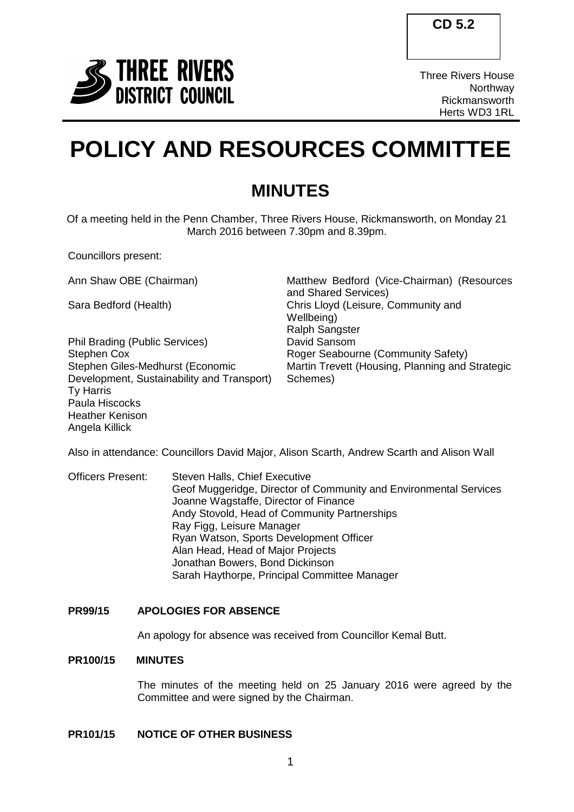

Three Rivers House Northway Rickmansworth Herts WD3 1RL

# **POLICY AND RESOURCES COMMITTEE**

# **MINUTES**

Of a meeting held in the Penn Chamber, Three Rivers House, Rickmansworth, on Monday 21 March 2016 between 7.30pm and 8.39pm.

Councillors present:

Phil Brading (Public Services) David Sansom Stephen Cox Stephen Giles-Medhurst (Economic Development, Sustainability and Transport) Ty Harris Paula Hiscocks Heather Kenison Angela Killick

Ann Shaw OBE (Chairman) Matthew Bedford (Vice-Chairman) (Resources and Shared Services) Sara Bedford (Health) Chris Lloyd (Leisure, Community and Wellbeing) Ralph Sangster Roger Seabourne (Community Safety) Martin Trevett (Housing, Planning and Strategic Schemes)

Also in attendance: Councillors David Major, Alison Scarth, Andrew Scarth and Alison Wall

Officers Present: Steven Halls, Chief Executive Geof Muggeridge, Director of Community and Environmental Services Joanne Wagstaffe, Director of Finance Andy Stovold, Head of Community Partnerships Ray Figg, Leisure Manager Ryan Watson, Sports Development Officer Alan Head, Head of Major Projects Jonathan Bowers, Bond Dickinson Sarah Haythorpe, Principal Committee Manager

# **PR99/15 APOLOGIES FOR ABSENCE**

An apology for absence was received from Councillor Kemal Butt.

# **PR100/15 MINUTES**

The minutes of the meeting held on 25 January 2016 were agreed by the Committee and were signed by the Chairman.

# **PR101/15 NOTICE OF OTHER BUSINESS**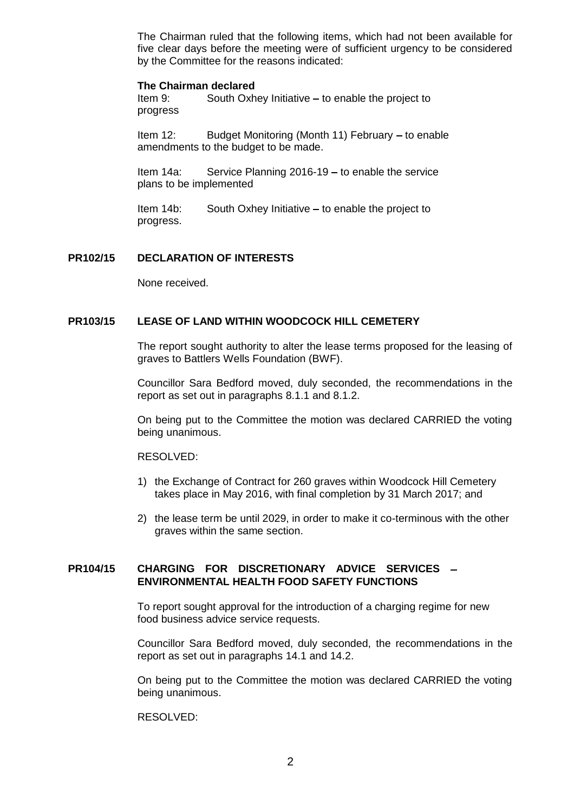The Chairman ruled that the following items, which had not been available for five clear days before the meeting were of sufficient urgency to be considered by the Committee for the reasons indicated:

#### **The Chairman declared**

Item 9: South Oxhey Initiative - to enable the project to progress

Item 12: Budget Monitoring (Month 11) February  $-$  to enable amendments to the budget to be made.

Item  $14a$ : Service Planning  $2016-19$  – to enable the service plans to be implemented

Item  $14b$ : South Oxhey Initiative  $-$  to enable the project to progress.

#### **PR102/15 DECLARATION OF INTERESTS**

None received.

#### **PR103/15 LEASE OF LAND WITHIN WOODCOCK HILL CEMETERY**

The report sought authority to alter the lease terms proposed for the leasing of graves to Battlers Wells Foundation (BWF).

Councillor Sara Bedford moved, duly seconded, the recommendations in the report as set out in paragraphs 8.1.1 and 8.1.2.

On being put to the Committee the motion was declared CARRIED the voting being unanimous.

#### RESOLVED:

- 1) the Exchange of Contract for 260 graves within Woodcock Hill Cemetery takes place in May 2016, with final completion by 31 March 2017; and
- 2) the lease term be until 2029, in order to make it co-terminous with the other graves within the same section.

# **PR104/15 CHARGING FOR DISCRETIONARY ADVICE SERVICES ENVIRONMENTAL HEALTH FOOD SAFETY FUNCTIONS**

To report sought approval for the introduction of a charging regime for new food business advice service requests.

Councillor Sara Bedford moved, duly seconded, the recommendations in the report as set out in paragraphs 14.1 and 14.2.

On being put to the Committee the motion was declared CARRIED the voting being unanimous.

RESOLVED: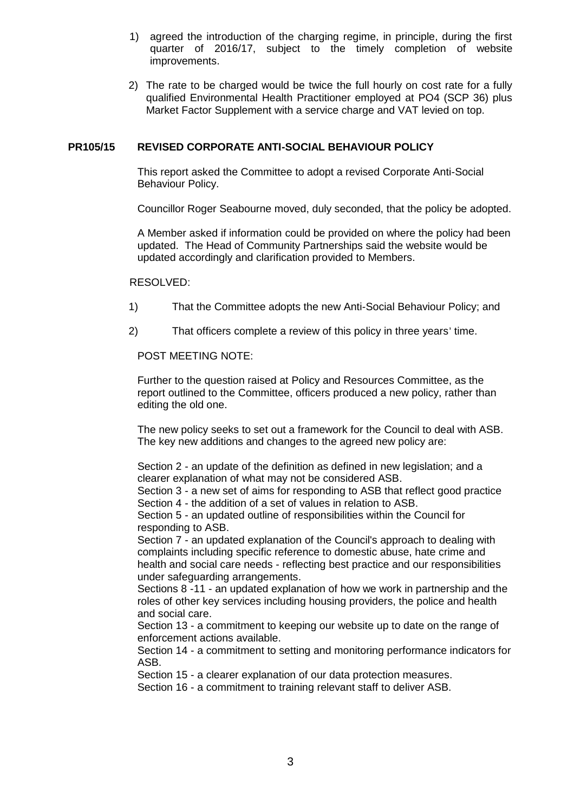- 1) agreed the introduction of the charging regime, in principle, during the first quarter of 2016/17, subject to the timely completion of website improvements.
- 2) The rate to be charged would be twice the full hourly on cost rate for a fully qualified Environmental Health Practitioner employed at PO4 (SCP 36) plus Market Factor Supplement with a service charge and VAT levied on top.

### **PR105/15 REVISED CORPORATE ANTI-SOCIAL BEHAVIOUR POLICY**

This report asked the Committee to adopt a revised Corporate Anti-Social Behaviour Policy.

Councillor Roger Seabourne moved, duly seconded, that the policy be adopted.

A Member asked if information could be provided on where the policy had been updated. The Head of Community Partnerships said the website would be updated accordingly and clarification provided to Members.

#### RESOLVED:

- 1) That the Committee adopts the new Anti-Social Behaviour Policy; and
- 2) That officers complete a review of this policy in three years' time.

# POST MEETING NOTE:

Further to the question raised at Policy and Resources Committee, as the report outlined to the Committee, officers produced a new policy, rather than editing the old one.

The new policy seeks to set out a framework for the Council to deal with ASB. The key new additions and changes to the agreed new policy are:

Section 2 - an update of the definition as defined in new legislation; and a clearer explanation of what may not be considered ASB.

Section 3 - a new set of aims for responding to ASB that reflect good practice Section 4 - the addition of a set of values in relation to ASB.

Section 5 - an updated outline of responsibilities within the Council for responding to ASB.

Section 7 - an updated explanation of the Council's approach to dealing with complaints including specific reference to domestic abuse, hate crime and health and social care needs - reflecting best practice and our responsibilities under safeguarding arrangements.

Sections 8 -11 - an updated explanation of how we work in partnership and the roles of other key services including housing providers, the police and health and social care.

Section 13 - a commitment to keeping our website up to date on the range of enforcement actions available.

Section 14 - a commitment to setting and monitoring performance indicators for ASB.

Section 15 - a clearer explanation of our data protection measures.

Section 16 - a commitment to training relevant staff to deliver ASB.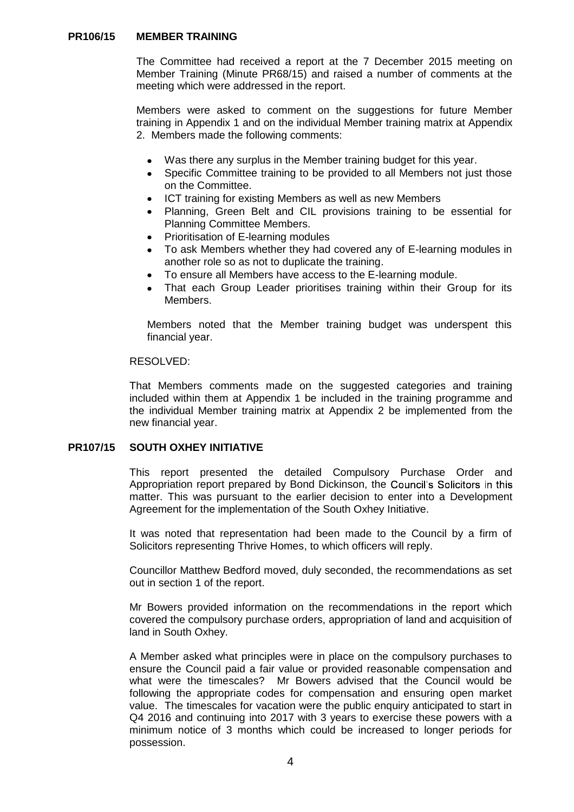#### **PR106/15 MEMBER TRAINING**

The Committee had received a report at the 7 December 2015 meeting on Member Training (Minute PR68/15) and raised a number of comments at the meeting which were addressed in the report.

Members were asked to comment on the suggestions for future Member training in Appendix 1 and on the individual Member training matrix at Appendix 2. Members made the following comments:

- Was there any surplus in the Member training budget for this year.  $\bullet$
- Specific Committee training to be provided to all Members not just those on the Committee.
- ICT training for existing Members as well as new Members
- Planning, Green Belt and CIL provisions training to be essential for Planning Committee Members.
- Prioritisation of E-learning modules
- To ask Members whether they had covered any of E-learning modules in another role so as not to duplicate the training.
- To ensure all Members have access to the E-learning module.
- That each Group Leader prioritises training within their Group for its Members.

Members noted that the Member training budget was underspent this financial year.

#### RESOLVED:

That Members comments made on the suggested categories and training included within them at Appendix 1 be included in the training programme and the individual Member training matrix at Appendix 2 be implemented from the new financial year.

#### **PR107/15 SOUTH OXHEY INITIATIVE**

This report presented the detailed Compulsory Purchase Order and Appropriation report prepared by Bond Dickinson, the Council's Solicitors in this matter. This was pursuant to the earlier decision to enter into a Development Agreement for the implementation of the South Oxhey Initiative.

It was noted that representation had been made to the Council by a firm of Solicitors representing Thrive Homes, to which officers will reply.

Councillor Matthew Bedford moved, duly seconded, the recommendations as set out in section 1 of the report.

Mr Bowers provided information on the recommendations in the report which covered the compulsory purchase orders, appropriation of land and acquisition of land in South Oxhey.

A Member asked what principles were in place on the compulsory purchases to ensure the Council paid a fair value or provided reasonable compensation and what were the timescales? Mr Bowers advised that the Council would be following the appropriate codes for compensation and ensuring open market value. The timescales for vacation were the public enquiry anticipated to start in Q4 2016 and continuing into 2017 with 3 years to exercise these powers with a minimum notice of 3 months which could be increased to longer periods for possession.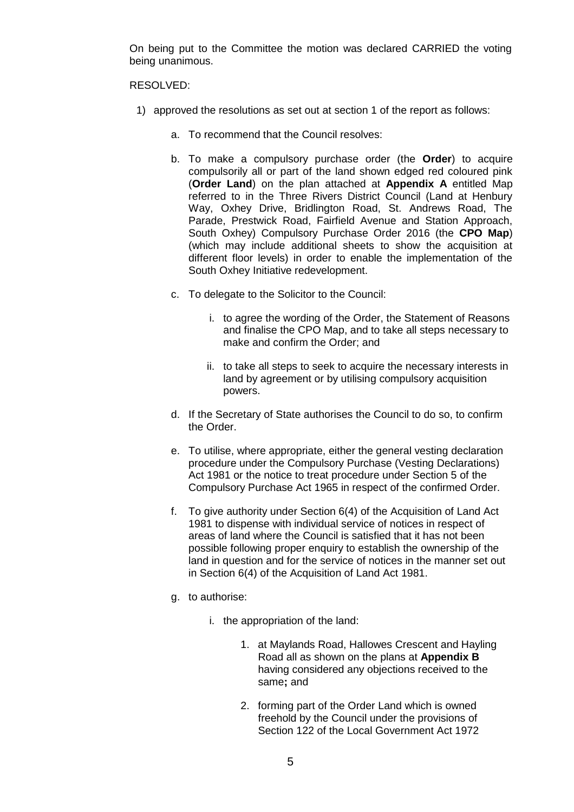On being put to the Committee the motion was declared CARRIED the voting being unanimous.

#### RESOLVED:

- 1) approved the resolutions as set out at section 1 of the report as follows:
	- a. To recommend that the Council resolves:
	- b. To make a compulsory purchase order (the **Order**) to acquire compulsorily all or part of the land shown edged red coloured pink (**Order Land**) on the plan attached at **Appendix A** entitled Map referred to in the Three Rivers District Council (Land at Henbury Way, Oxhey Drive, Bridlington Road, St. Andrews Road, The Parade, Prestwick Road, Fairfield Avenue and Station Approach, South Oxhey) Compulsory Purchase Order 2016 (the **CPO Map**) (which may include additional sheets to show the acquisition at different floor levels) in order to enable the implementation of the South Oxhey Initiative redevelopment.
	- c. To delegate to the Solicitor to the Council:
		- i. to agree the wording of the Order, the Statement of Reasons and finalise the CPO Map, and to take all steps necessary to make and confirm the Order; and
		- ii. to take all steps to seek to acquire the necessary interests in land by agreement or by utilising compulsory acquisition powers.
	- d. If the Secretary of State authorises the Council to do so, to confirm the Order.
	- e. To utilise, where appropriate, either the general vesting declaration procedure under the Compulsory Purchase (Vesting Declarations) Act 1981 or the notice to treat procedure under Section 5 of the Compulsory Purchase Act 1965 in respect of the confirmed Order.
	- f. To give authority under Section 6(4) of the Acquisition of Land Act 1981 to dispense with individual service of notices in respect of areas of land where the Council is satisfied that it has not been possible following proper enquiry to establish the ownership of the land in question and for the service of notices in the manner set out in Section 6(4) of the Acquisition of Land Act 1981.
	- g. to authorise:
		- i. the appropriation of the land:
			- 1. at Maylands Road, Hallowes Crescent and Hayling Road all as shown on the plans at **Appendix B** having considered any objections received to the same**;** and
			- 2. forming part of the Order Land which is owned freehold by the Council under the provisions of Section 122 of the Local Government Act 1972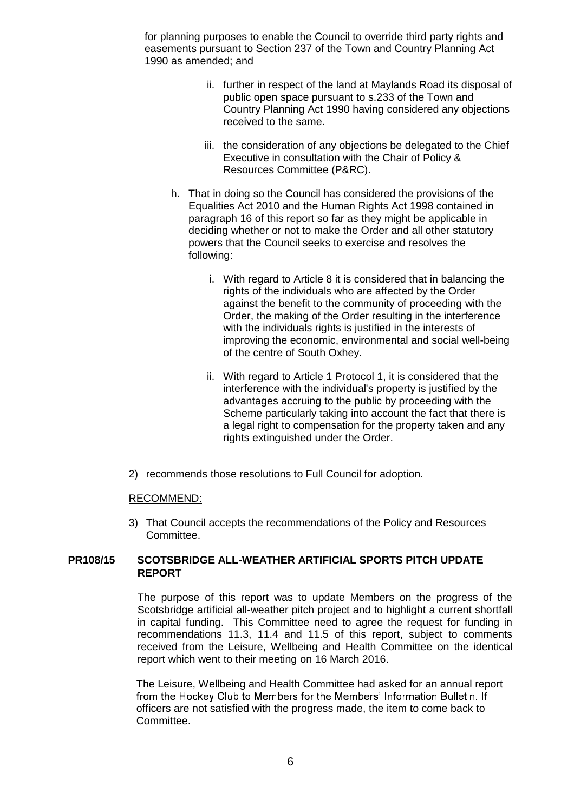for planning purposes to enable the Council to override third party rights and easements pursuant to Section 237 of the Town and Country Planning Act 1990 as amended; and

- ii. further in respect of the land at Maylands Road its disposal of public open space pursuant to s.233 of the Town and Country Planning Act 1990 having considered any objections received to the same.
- iii. the consideration of any objections be delegated to the Chief Executive in consultation with the Chair of Policy & Resources Committee (P&RC).
- h. That in doing so the Council has considered the provisions of the Equalities Act 2010 and the Human Rights Act 1998 contained in paragraph 16 of this report so far as they might be applicable in deciding whether or not to make the Order and all other statutory powers that the Council seeks to exercise and resolves the following:
	- i. With regard to Article 8 it is considered that in balancing the rights of the individuals who are affected by the Order against the benefit to the community of proceeding with the Order, the making of the Order resulting in the interference with the individuals rights is justified in the interests of improving the economic, environmental and social well-being of the centre of South Oxhey.
	- ii. With regard to Article 1 Protocol 1, it is considered that the interference with the individual's property is justified by the advantages accruing to the public by proceeding with the Scheme particularly taking into account the fact that there is a legal right to compensation for the property taken and any rights extinguished under the Order.
- 2) recommends those resolutions to Full Council for adoption.

#### RECOMMEND:

3) That Council accepts the recommendations of the Policy and Resources Committee.

# **PR108/15 SCOTSBRIDGE ALL-WEATHER ARTIFICIAL SPORTS PITCH UPDATE REPORT**

The purpose of this report was to update Members on the progress of the Scotsbridge artificial all-weather pitch project and to highlight a current shortfall in capital funding. This Committee need to agree the request for funding in recommendations 11.3, 11.4 and 11.5 of this report, subject to comments received from the Leisure, Wellbeing and Health Committee on the identical report which went to their meeting on 16 March 2016.

The Leisure, Wellbeing and Health Committee had asked for an annual report from the Hockey Club to Members for the Members' Information Bulletin. If officers are not satisfied with the progress made, the item to come back to Committee.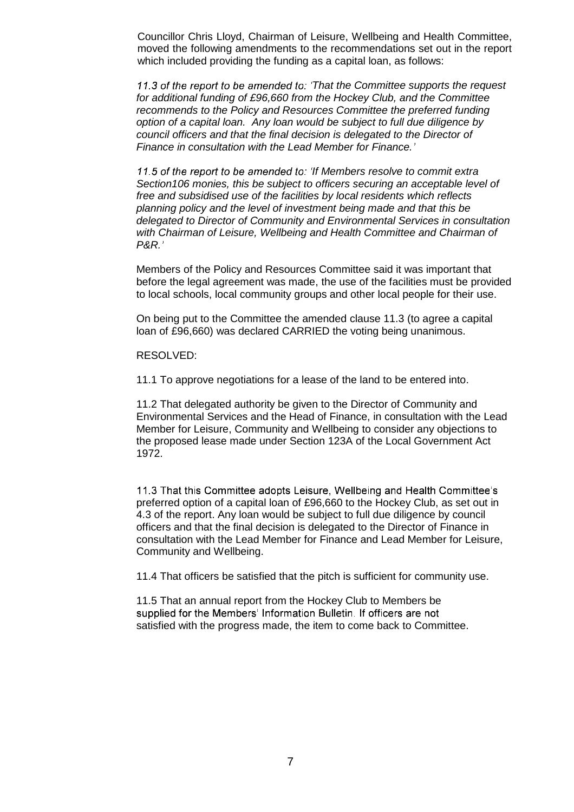Councillor Chris Lloyd, Chairman of Leisure, Wellbeing and Health Committee, moved the following amendments to the recommendations set out in the report which included providing the funding as a capital loan, as follows:

11.3 of the report to be amended to: 'That the Committee supports the request *for additional funding of £96,660 from the Hockey Club, and the Committee recommends to the Policy and Resources Committee the preferred funding option of a capital loan. Any loan would be subject to full due diligence by council officers and that the final decision is delegated to the Director of Finance in consultation with the Lead Member for Finance.*

11.5 of the report to be amended to: 'If Members resolve to commit extra *Section106 monies, this be subject to officers securing an acceptable level of free and subsidised use of the facilities by local residents which reflects planning policy and the level of investment being made and that this be delegated to Director of Community and Environmental Services in consultation with Chairman of Leisure, Wellbeing and Health Committee and Chairman of P&R.*

Members of the Policy and Resources Committee said it was important that before the legal agreement was made, the use of the facilities must be provided to local schools, local community groups and other local people for their use.

On being put to the Committee the amended clause 11.3 (to agree a capital loan of £96,660) was declared CARRIED the voting being unanimous.

RESOLVED:

11.1 To approve negotiations for a lease of the land to be entered into.

11.2 That delegated authority be given to the Director of Community and Environmental Services and the Head of Finance, in consultation with the Lead Member for Leisure, Community and Wellbeing to consider any objections to the proposed lease made under Section 123A of the Local Government Act 1972.

11.3 That this Committee adopts Leisure, Wellbeing and Health Committee's preferred option of a capital loan of £96,660 to the Hockey Club, as set out in 4.3 of the report. Any loan would be subject to full due diligence by council officers and that the final decision is delegated to the Director of Finance in consultation with the Lead Member for Finance and Lead Member for Leisure, Community and Wellbeing.

11.4 That officers be satisfied that the pitch is sufficient for community use.

11.5 That an annual report from the Hockey Club to Members be supplied for the Members' Information Bulletin. If officers are not satisfied with the progress made, the item to come back to Committee.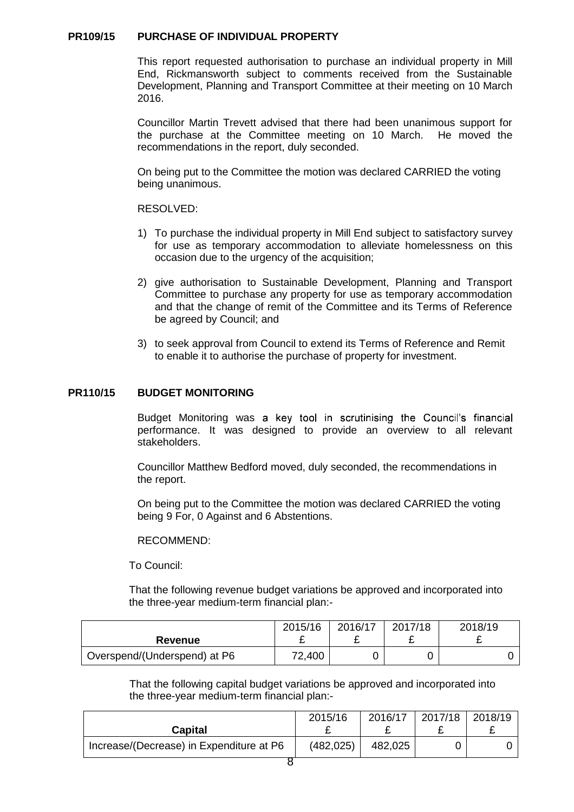#### **PR109/15 PURCHASE OF INDIVIDUAL PROPERTY**

This report requested authorisation to purchase an individual property in Mill End, Rickmansworth subject to comments received from the Sustainable Development, Planning and Transport Committee at their meeting on 10 March 2016.

Councillor Martin Trevett advised that there had been unanimous support for the purchase at the Committee meeting on 10 March. He moved the recommendations in the report, duly seconded.

On being put to the Committee the motion was declared CARRIED the voting being unanimous.

RESOLVED:

- 1) To purchase the individual property in Mill End subject to satisfactory survey for use as temporary accommodation to alleviate homelessness on this occasion due to the urgency of the acquisition;
- 2) give authorisation to Sustainable Development, Planning and Transport Committee to purchase any property for use as temporary accommodation and that the change of remit of the Committee and its Terms of Reference be agreed by Council; and
- 3) to seek approval from Council to extend its Terms of Reference and Remit to enable it to authorise the purchase of property for investment.

#### **PR110/15 BUDGET MONITORING**

Budget Monitoring was a key tool in scrutinising the Council's financial performance. It was designed to provide an overview to all relevant stakeholders.

Councillor Matthew Bedford moved, duly seconded, the recommendations in the report.

On being put to the Committee the motion was declared CARRIED the voting being 9 For, 0 Against and 6 Abstentions.

#### RECOMMEND:

To Council:

That the following revenue budget variations be approved and incorporated into the three-year medium-term financial plan:-

|                              | 2015/16 | 2016/17 | 2017/18 | 2018/19 |
|------------------------------|---------|---------|---------|---------|
| <b>Revenue</b>               |         |         |         |         |
| Overspend/(Underspend) at P6 | 72,400  |         |         |         |

That the following capital budget variations be approved and incorporated into the three-year medium-term financial plan:-

| <b>Capital</b>                           | 2015/16    | 2016/17<br>- | 2017/18 2018/19<br>-- |  |
|------------------------------------------|------------|--------------|-----------------------|--|
| Increase/(Decrease) in Expenditure at P6 | (482, 025) | 482,025      |                       |  |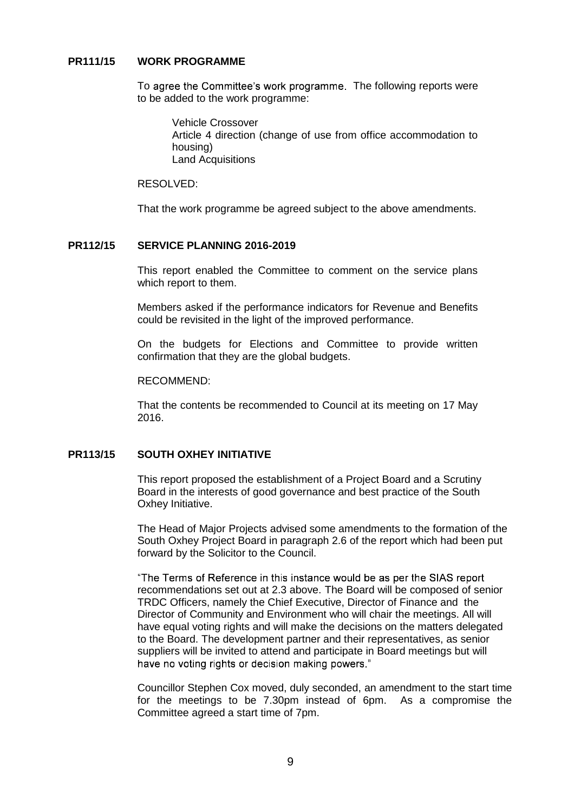#### **PR111/15 WORK PROGRAMME**

To agree the Committee's work programme. The following reports were to be added to the work programme:

> Vehicle Crossover Article 4 direction (change of use from office accommodation to housing) Land Acquisitions

RESOLVED:

That the work programme be agreed subject to the above amendments.

# **PR112/15 SERVICE PLANNING 2016-2019**

This report enabled the Committee to comment on the service plans which report to them.

Members asked if the performance indicators for Revenue and Benefits could be revisited in the light of the improved performance.

On the budgets for Elections and Committee to provide written confirmation that they are the global budgets.

#### RECOMMEND:

That the contents be recommended to Council at its meeting on 17 May 2016.

## **PR113/15 SOUTH OXHEY INITIATIVE**

This report proposed the establishment of a Project Board and a Scrutiny Board in the interests of good governance and best practice of the South Oxhey Initiative.

The Head of Major Projects advised some amendments to the formation of the South Oxhey Project Board in paragraph 2.6 of the report which had been put forward by the Solicitor to the Council.

"The Terms of Reference in this instance would be as per the SIAS report recommendations set out at 2.3 above. The Board will be composed of senior TRDC Officers, namely the Chief Executive, Director of Finance and the Director of Community and Environment who will chair the meetings. All will have equal voting rights and will make the decisions on the matters delegated to the Board. The development partner and their representatives, as senior suppliers will be invited to attend and participate in Board meetings but will have no voting rights or decision making powers."

Councillor Stephen Cox moved, duly seconded, an amendment to the start time for the meetings to be 7.30pm instead of 6pm. As a compromise the Committee agreed a start time of 7pm.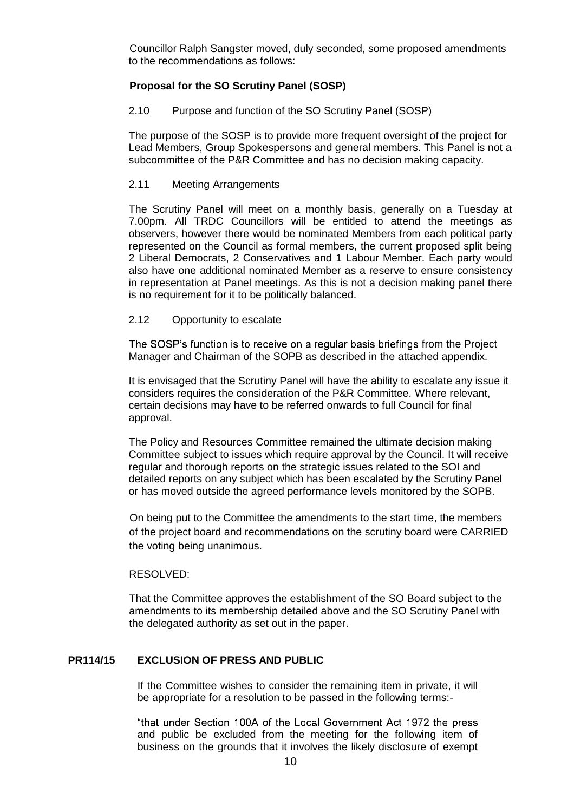Councillor Ralph Sangster moved, duly seconded, some proposed amendments to the recommendations as follows:

# **Proposal for the SO Scrutiny Panel (SOSP)**

#### 2.10 Purpose and function of the SO Scrutiny Panel (SOSP)

The purpose of the SOSP is to provide more frequent oversight of the project for Lead Members, Group Spokespersons and general members. This Panel is not a subcommittee of the P&R Committee and has no decision making capacity.

# 2.11 Meeting Arrangements

The Scrutiny Panel will meet on a monthly basis, generally on a Tuesday at 7.00pm. All TRDC Councillors will be entitled to attend the meetings as observers, however there would be nominated Members from each political party represented on the Council as formal members, the current proposed split being 2 Liberal Democrats, 2 Conservatives and 1 Labour Member. Each party would also have one additional nominated Member as a reserve to ensure consistency in representation at Panel meetings. As this is not a decision making panel there is no requirement for it to be politically balanced.

#### 2.12 Opportunity to escalate

The SOSP's function is to receive on a regular basis briefings from the Project Manager and Chairman of the SOPB as described in the attached appendix.

It is envisaged that the Scrutiny Panel will have the ability to escalate any issue it considers requires the consideration of the P&R Committee. Where relevant, certain decisions may have to be referred onwards to full Council for final approval.

The Policy and Resources Committee remained the ultimate decision making Committee subject to issues which require approval by the Council. It will receive regular and thorough reports on the strategic issues related to the SOI and detailed reports on any subject which has been escalated by the Scrutiny Panel or has moved outside the agreed performance levels monitored by the SOPB.

On being put to the Committee the amendments to the start time, the members of the project board and recommendations on the scrutiny board were CARRIED the voting being unanimous.

# RESOLVED:

That the Committee approves the establishment of the SO Board subject to the amendments to its membership detailed above and the SO Scrutiny Panel with the delegated authority as set out in the paper.

# **PR114/15 EXCLUSION OF PRESS AND PUBLIC**

If the Committee wishes to consider the remaining item in private, it will be appropriate for a resolution to be passed in the following terms:-

"that under Section 100A of the Local Government Act 1972 the press and public be excluded from the meeting for the following item of business on the grounds that it involves the likely disclosure of exempt